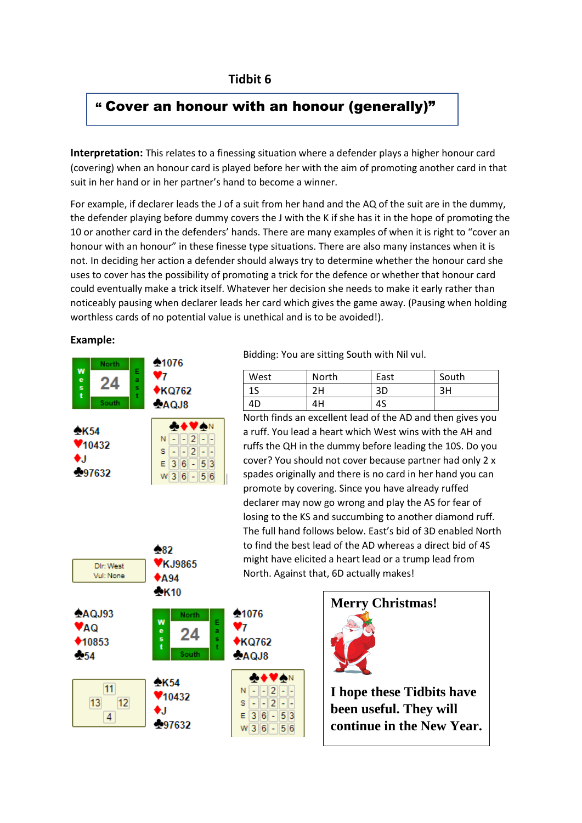## **Tidbit 6**

## " Cover an honour with an honour (generally)"

**Interpretation:** This relates to a finessing situation where a defender plays a higher honour card (covering) when an honour card is played before her with the aim of promoting another card in that suit in her hand or in her partner's hand to become a winner.

For example, if declarer leads the J of a suit from her hand and the AQ of the suit are in the dummy, the defender playing before dummy covers the J with the K if she has it in the hope of promoting the 10 or another card in the defenders' hands. There are many examples of when it is right to "cover an honour with an honour" in these finesse type situations. There are also many instances when it is not. In deciding her action a defender should always try to determine whether the honour card she uses to cover has the possibility of promoting a trick for the defence or whether that honour card could eventually make a trick itself. Whatever her decision she needs to make it early rather than noticeably pausing when declarer leads her card which gives the game away. (Pausing when holding worthless cards of no potential value is unethical and is to be avoided!).

**Example:**



182

Bidding: You are sitting South with Nil vul.

| West | North | East | South |
|------|-------|------|-------|
| כד   | 2H    | 3D   | 3H    |
| 4D   | 4H    | 4S   |       |

North finds an excellent lead of the AD and then gives you a ruff. You lead a heart which West wins with the AH and ruffs the QH in the dummy before leading the 10S. Do you cover? You should not cover because partner had only 2 x spades originally and there is no card in her hand you can promote by covering. Since you have already ruffed declarer may now go wrong and play the AS for fear of losing to the KS and succumbing to another diamond ruff. The full hand follows below. East's bid of 3D enabled North to find the best lead of the AD whereas a direct bid of 4S might have elicited a heart lead or a trump lead from North. Against that, 6D actually makes!





**I hope these Tidbits have been useful. They will continue in the New Year.**